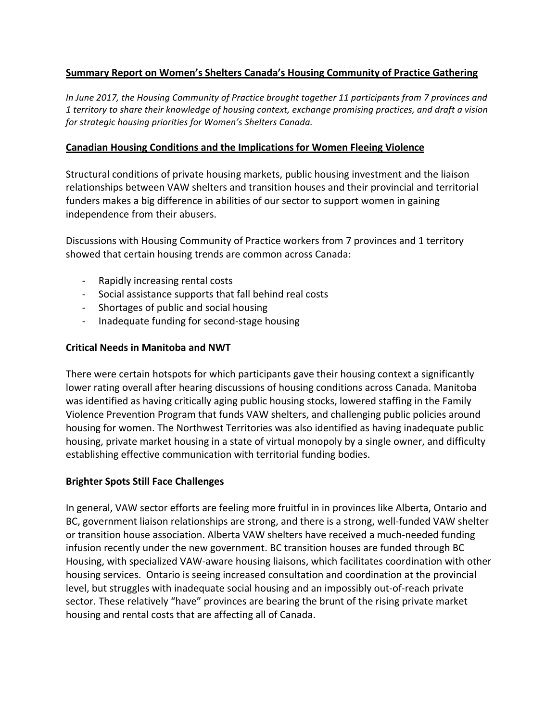# **<u>Summary Report on Women's Shelters Canada's Housing Community of Practice Gathering</u>**

*In June 2017, the Housing Community of Practice brought together 11 participants from 7 provinces and 1 territory to share their knowledge of housing context, exchange promising practices, and draft a vision*  for strategic housing priorities for Women's Shelters Canada.

#### **Canadian Housing Conditions and the Implications for Women Fleeing Violence**

Structural conditions of private housing markets, public housing investment and the liaison relationships between VAW shelters and transition houses and their provincial and territorial funders makes a big difference in abilities of our sector to support women in gaining independence from their abusers.

Discussions with Housing Community of Practice workers from 7 provinces and 1 territory showed that certain housing trends are common across Canada:

- Rapidly increasing rental costs
- Social assistance supports that fall behind real costs
- Shortages of public and social housing
- Inadequate funding for second-stage housing

# **Critical Needs in Manitoba and NWT**

There were certain hotspots for which participants gave their housing context a significantly lower rating overall after hearing discussions of housing conditions across Canada. Manitoba was identified as having critically aging public housing stocks, lowered staffing in the Family Violence Prevention Program that funds VAW shelters, and challenging public policies around housing for women. The Northwest Territories was also identified as having inadequate public housing, private market housing in a state of virtual monopoly by a single owner, and difficulty establishing effective communication with territorial funding bodies.

# **Brighter Spots Still Face Challenges**

In general, VAW sector efforts are feeling more fruitful in in provinces like Alberta, Ontario and BC, government liaison relationships are strong, and there is a strong, well-funded VAW shelter or transition house association. Alberta VAW shelters have received a much-needed funding infusion recently under the new government. BC transition houses are funded through BC Housing, with specialized VAW-aware housing liaisons, which facilitates coordination with other housing services. Ontario is seeing increased consultation and coordination at the provincial level, but struggles with inadequate social housing and an impossibly out-of-reach private sector. These relatively "have" provinces are bearing the brunt of the rising private market housing and rental costs that are affecting all of Canada.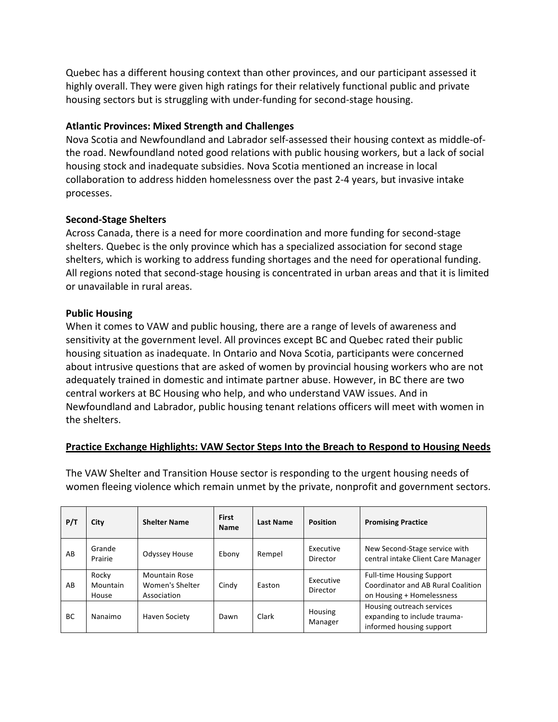Quebec has a different housing context than other provinces, and our participant assessed it highly overall. They were given high ratings for their relatively functional public and private housing sectors but is struggling with under-funding for second-stage housing.

#### **Atlantic Provinces: Mixed Strength and Challenges**

Nova Scotia and Newfoundland and Labrador self-assessed their housing context as middle-ofthe road. Newfoundland noted good relations with public housing workers, but a lack of social housing stock and inadequate subsidies. Nova Scotia mentioned an increase in local collaboration to address hidden homelessness over the past 2-4 years, but invasive intake processes. 

#### **Second-Stage Shelters**

Across Canada, there is a need for more coordination and more funding for second-stage shelters. Quebec is the only province which has a specialized association for second stage shelters, which is working to address funding shortages and the need for operational funding. All regions noted that second-stage housing is concentrated in urban areas and that it is limited or unavailable in rural areas.

#### **Public Housing**

When it comes to VAW and public housing, there are a range of levels of awareness and sensitivity at the government level. All provinces except BC and Quebec rated their public housing situation as inadequate. In Ontario and Nova Scotia, participants were concerned about intrusive questions that are asked of women by provincial housing workers who are not adequately trained in domestic and intimate partner abuse. However, in BC there are two central workers at BC Housing who help, and who understand VAW issues. And in Newfoundland and Labrador, public housing tenant relations officers will meet with women in the shelters.

# **Practice Exchange Highlights: VAW Sector Steps Into the Breach to Respond to Housing Needs**

**P/T City Shelter Name First Name Name Last Name Position Promising Practice** AB Grande Grande Odyssey House Ebony Rempel Executive<br>Prairie Odyssey House Ebony Rempel Director Director New Second-Stage service with central intake Client Care Manager AB Rocky Mountain House Mountain Rose Women's Shelter Association Cindy Easton Executive Director Full-time Housing Support Coordinator and AB Rural Coalition on Housing + Homelessness BC Nanaimo Haven Society Dawn Clark Housing Manager Housing outreach services expanding to include traumainformed housing support

The VAW Shelter and Transition House sector is responding to the urgent housing needs of women fleeing violence which remain unmet by the private, nonprofit and government sectors.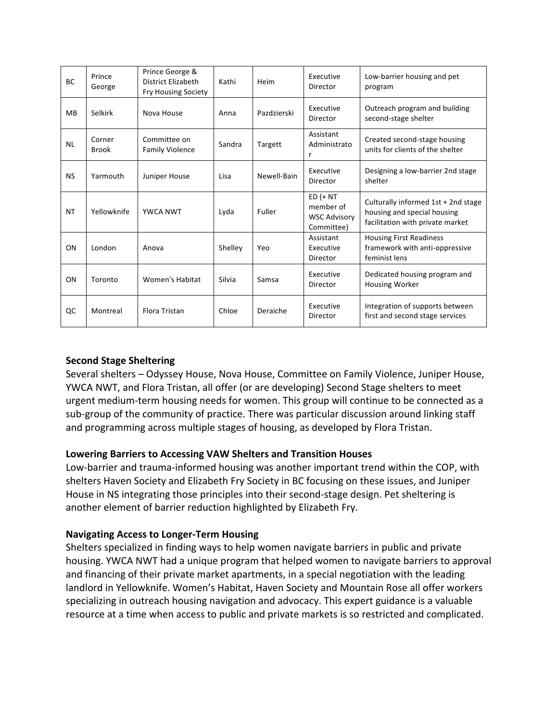| <b>BC</b> | Prince<br>George       | Prince George &<br><b>District Elizabeth</b><br>Fry Housing Society | Kathi   | Heim        | Executive<br>Director                                         | Low-barrier housing and pet<br>program                                                                 |
|-----------|------------------------|---------------------------------------------------------------------|---------|-------------|---------------------------------------------------------------|--------------------------------------------------------------------------------------------------------|
| MB        | Selkirk                | Nova House                                                          | Anna    | Pazdzierski | Executive<br>Director                                         | Outreach program and building<br>second-stage shelter                                                  |
| <b>NL</b> | Corner<br><b>Brook</b> | Committee on<br><b>Family Violence</b>                              | Sandra  | Targett     | Assistant<br>Administrato<br>r                                | Created second-stage housing<br>units for clients of the shelter                                       |
| <b>NS</b> | Yarmouth               | Juniper House                                                       | Lisa    | Newell-Bain | Executive<br>Director                                         | Designing a low-barrier 2nd stage<br>shelter                                                           |
| <b>NT</b> | Yellowknife            | <b>YWCA NWT</b>                                                     | Lyda    | Fuller      | $ED (+ NT)$<br>member of<br><b>WSC Advisory</b><br>Committee) | Culturally informed 1st + 2nd stage<br>housing and special housing<br>facilitation with private market |
| ON        | London                 | Anova                                                               | Shelley | Yeo         | Assistant<br>Executive<br>Director                            | <b>Housing First Readiness</b><br>framework with anti-oppressive<br>feminist lens                      |
| ON        | Toronto                | Women's Habitat                                                     | Silvia  | Samsa       | Executive<br>Director                                         | Dedicated housing program and<br><b>Housing Worker</b>                                                 |
| QC        | Montreal               | Flora Tristan                                                       | Chloe   | Deraiche    | Executive<br>Director                                         | Integration of supports between<br>first and second stage services                                     |

# **Second Stage Sheltering**

Several shelters - Odyssey House, Nova House, Committee on Family Violence, Juniper House, YWCA NWT, and Flora Tristan, all offer (or are developing) Second Stage shelters to meet urgent medium-term housing needs for women. This group will continue to be connected as a sub-group of the community of practice. There was particular discussion around linking staff and programming across multiple stages of housing, as developed by Flora Tristan.

# Lowering Barriers to Accessing VAW Shelters and Transition Houses

Low-barrier and trauma-informed housing was another important trend within the COP, with shelters Haven Society and Elizabeth Fry Society in BC focusing on these issues, and Juniper House in NS integrating those principles into their second-stage design. Pet sheltering is another element of barrier reduction highlighted by Elizabeth Fry.

# **Navigating Access to Longer-Term Housing**

Shelters specialized in finding ways to help women navigate barriers in public and private housing. YWCA NWT had a unique program that helped women to navigate barriers to approval and financing of their private market apartments, in a special negotiation with the leading landlord in Yellowknife. Women's Habitat, Haven Society and Mountain Rose all offer workers specializing in outreach housing navigation and advocacy. This expert guidance is a valuable resource at a time when access to public and private markets is so restricted and complicated.